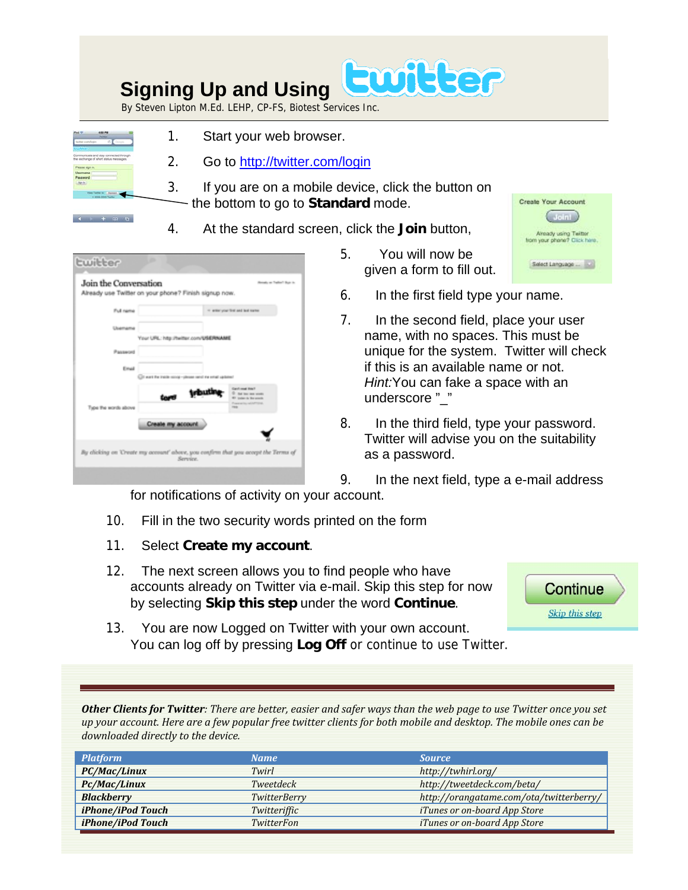## Ewitter  **Signing Up and Using**

By Steven Lipton M.Ed. LEHP, CP-FS, Biotest Services Inc.

|                                                | <b>Facebook</b><br>'n.                 |  |
|------------------------------------------------|----------------------------------------|--|
| without promotionism                           | d)                                     |  |
|                                                |                                        |  |
|                                                | the exchange of short status messages. |  |
|                                                |                                        |  |
|                                                |                                        |  |
| Please sign in.<br><b>Usarname</b><br>Password |                                        |  |
| San In.                                        |                                        |  |

 $4 + m + m$ 

- 1. Start your web browser.
- 2. Go to<http://twitter.com/login>
- 3. If you are on a mobile device, click the button on - the bottom to go to **Standard** mode.
- 4. At the standard screen, click the **Join** button,

| <b>Lwitter</b>                                                                     |                                                        |               |                                                                                               |
|------------------------------------------------------------------------------------|--------------------------------------------------------|---------------|-----------------------------------------------------------------------------------------------|
| Join the Conversation<br>Already use Twitter on your phone? Finish signup now.     |                                                        |               | Alexandry are Tradition? Bigan in-                                                            |
| Full rams                                                                          |                                                        |               | in select your first and last curion.                                                         |
| Usemama                                                                            | Your URL: http://twitter.com/USERNAME                  |               |                                                                                               |
| Pausword                                                                           |                                                        |               |                                                                                               |
| Email                                                                              | (ii) was the trade score-please rand the small updated |               |                                                                                               |
|                                                                                    |                                                        | <b>Irbuth</b> | Gard and Hot!<br>12 Eat low men would<br>El justico la liberatura<br>Proposition relativities |
| Type the words above                                                               |                                                        |               | <b>Hara</b>                                                                                   |
|                                                                                    | Create my account                                      |               |                                                                                               |
| By clicking on 'Create my account' above, you confirm that you accept the Terms of | Service.                                               |               |                                                                                               |
|                                                                                    |                                                        |               |                                                                                               |

- 5. You will now be given a form to fill out.
- 6. In the first field type your name.
- 7. In the second field, place your user name, with no spaces. This must be unique for the system. Twitter will check if this is an available name or not. *Hint:*You can fake a space with an underscore "\_"
- 8. In the third field, type your password. Twitter will advise you on the suitability as a password.
- 9. In the next field, type a e-mail address

for notifications of activity on your account.

- 10. Fill in the two security words printed on the form
- 11. Select **Create my account**.
- 12. The next screen allows you to find people who have accounts already on Twitter via e-mail. Skip this step for now by selecting **Skip this step** under the word **Continue**.



Create Your Account  $\binom{1}{10}$ 

Already using Twitter<br>from your phone? Click here.

Select Language ...

13. You are now Logged on Twitter with your own account. You can log off by pressing **Log Off** or continue to use Twitter.

Other Clients for Twitter: There are better, easier and safer ways than the web page to use Twitter once you set up your account. Here are a few popular free twitter clients for both mobile and desktop. The mobile ones can be *downloaded directly to the device.*

| <b>Platform</b>   | <b>Name</b>  | <b>Source</b>                           |
|-------------------|--------------|-----------------------------------------|
| PC/Mac/Linux      | Twirl        | http://twhirl.org/                      |
| Pc/Mac/Linux      | Tweetdeck    | http://tweetdeck.com/beta/              |
| <b>Blackberry</b> | TwitterBerry | http://orangatame.com/ota/twitterberry/ |
| iPhone/iPod Touch | Twitteriffic | <i>iTunes or on-board App Store</i>     |
| iPhone/iPod Touch | TwitterFon   | iTunes or on-board App Store            |